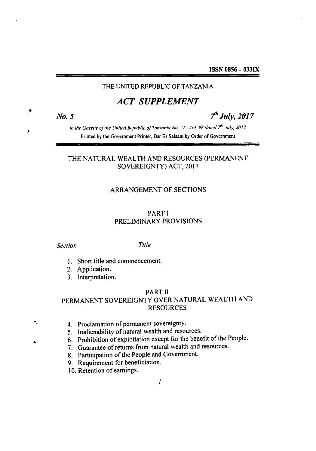# THE UNITED REPUBLIC OF TANZANIA

# ACT SUPPLEMENT

 $\mathbf{A}$ 

,

 $\bullet$ 

# $N_o. 5$   $7<sup>th</sup> July, 2017$

to the Gazette of the United Republic of Tanzania No. 27 Vol 98 dated  $7^{\text{th}}$  July, 2017 Printed by the Government Printer, Dar Es Salaam by Order of Government

# THE NATURAL WEALTH AND RESOURCES (PERMANENT SoVEREIGNTY) ACT,2017

# ARRANGEMENT OF SECTIONS

# PART I PRELIMINARY PROVISIONS

# Section Title

- l. Short title and commencement.
- 2. Application.
- 3. Interpretation.

# PART II

# PERMANENT SOVEREIGNTY OVER NATURAL WEALTH AND RESOURCES

- 4. Proclamation of permanent sovereignty.
	- 5. Inalienability of natural wealth and resources.
- 6. Prohibition of exploitation except for the benefit of the People.
- 7. Guarantee of returns from natural wealth and resources.
	- 8. Participation of the People and Government.
	- 9. Requirement for beneficiation.
	- <sup>I</sup>0. Retention of earnings.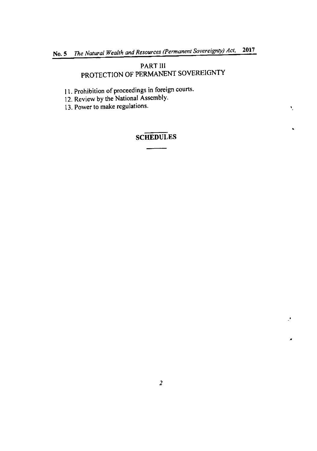# PART III PROTECTION OF PERMANENT SOVEREIGNTY

- 11. Prohibition of proceedings in foreign courts.
- 12. Review by the National Assembly.
- 13. Power to make regulations.

# **SCHEDULES**

 $\tilde{\mathbf{v}}_i$ 

 $\mathbf{u}$ 

 $\mathbf{A}$ 

ø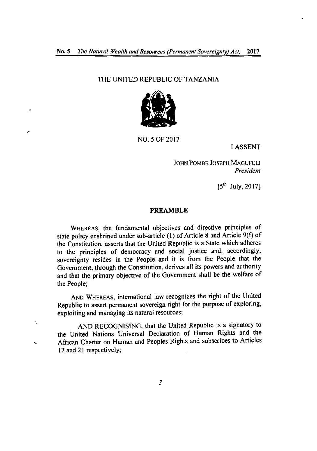# THE UNITED REPUBLIC OF TANZANIA



Ŀ,

 $\bullet$  .

NO.5 0F 2017

I ASSENT

JoHN PoMBE JoSEPH MAGUFULI President

 $[5<sup>th</sup>$  July, 2017]

# PREAMBLE

WHEREAs, the fundamental objectives and directive principles of state policy enshrined under sub-article (l) of Article 8 and Article 9(f) of the Constitution, asserts that the United Republic is a State which adheres to the principles of democracy and social justice and, accordingly, sovereignty resides in the People and it is from the People that the Govemment, through the Constitution, derives all its powers and authority and that the primary objective of the Govemment shall be the welfare of the People;

AND WHEREAS, intemational law recognizes the right of the United Republic to assert permanent sovereign right for the purpose of exploring, exploiting and managing is natural resources;

AND RECOGNISING, that the United Republic is a signatory to the United Nations Universal Declaration of Human Rights and the African Charter on Human and Peoples Rights and subscribes to Articles l7 and 2l respectively;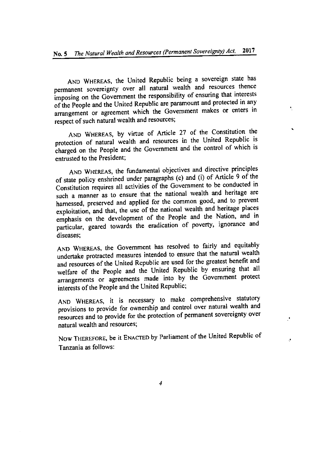AND WHEREAS, the United Republic being a sovereign state has permanent sovereignty over all natural wealth and resources thence imposing on the Government the responsibility of ensuring that interests of the People and the United Republic are paramount and protected in any arrangement or agreement which the Government makes or enters in respect of such natural wealth and resources;

AND WHEREAS, by virtue of Article 27 of the Constitution the protection of natural wealth and resources in the United Republic is charged on the People and the Government and the control of which is entrusted to the President:

 $\mathbf{u}$  .

Ĵ.

þ,

AND WHEREAS, the fundamental objectives and directive principles of state policy enshrined under paragraphs (c) and (i) of Article 9 of the Constitution requires all activities of the Government to be conducted in such a manner as to ensure that the national wealth and heritage are harnessed, preserved and applied for the common good, and to prevent exploitation, and that, the use of the national wealth and heritage places emphasis on the development of the People and the Nation, and in particular, geared towards the eradication of poverty, ignorance and diseases:

AND WHEREAS, the Government has resolved to fairly and equitably undertake protracted measures intended to ensure that the natural wealth and resources of the United Republic are used for the greatest benefit and welfare of the People and the United Republic by ensuring that all arrangements or agreements made into by the Government protect interests of the People and the United Republic;

AND WHEREAS, it is necessary to make comprehensive statutory provisions to provide for ownership and control over natural wealth and resources and to provide for the protection of permanent sovereignty over natural wealth and resources;

NOW THEREFORE, be it ENACTED by Parliament of the United Republic of Tanzania as follows: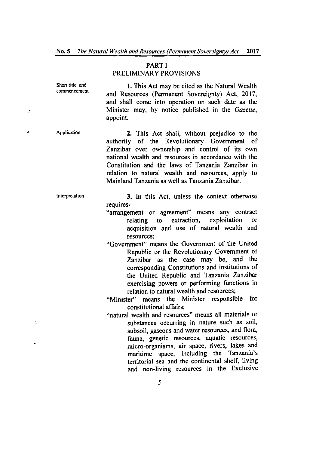# PART I PRELIMTNARY PROVISIONS

 $\mathcal{I}$ 

 $\bullet$ 

 $\ddot{\ddot{\phantom{a}}}$ 

 $\bullet$ 

| Short title and<br>commencement | 1. This Act may be cited as the Natural Wealth<br>and Resources (Permanent Sovereignty) Act, 2017,<br>and shall come into operation on such date as the<br>Minister may, by notice published in the Gazette,<br>appoint.                                                                                                                                                                                                                                                                                                                                                                                                                                                                                                                                                                                                                                                                                                                                                                                                                               |
|---------------------------------|--------------------------------------------------------------------------------------------------------------------------------------------------------------------------------------------------------------------------------------------------------------------------------------------------------------------------------------------------------------------------------------------------------------------------------------------------------------------------------------------------------------------------------------------------------------------------------------------------------------------------------------------------------------------------------------------------------------------------------------------------------------------------------------------------------------------------------------------------------------------------------------------------------------------------------------------------------------------------------------------------------------------------------------------------------|
| Application                     | 2. This Act shall, without prejudice to the<br>authority of the Revolutionary Government of<br>Zanzibar over ownership and control of its own<br>national wealth and resources in accordance with the<br>Constitution and the laws of Tanzania Zanzibar in<br>relation to natural wealth and resources, apply to<br>Mainland Tanzania as well as Tanzania Zanzibar.                                                                                                                                                                                                                                                                                                                                                                                                                                                                                                                                                                                                                                                                                    |
| Interpretation                  | 3. In this Act, unless the context otherwise<br>requires-<br>"arrangement or agreement" means any contract<br>relating to extraction, exploitation<br>$-$ or<br>acquisition and use of natural wealth and<br>resources;<br>"Government" means the Government of the United<br>Republic or the Revolutionary Government of<br>Zanzibar as the case may be, and the<br>corresponding Constitutions and institutions of<br>the United Republic and Tanzania Zanzibar<br>exercising powers or performing functions in<br>relation to natural wealth and resources;<br>"Minister" means the Minister responsible for<br>constitutional affairs;<br>"natural wealth and resources" means all materials or<br>substances occurring in nature such as soil,<br>subsoil, gaseous and water resources, and flora,<br>fauna, genetic resources, aquatic resources,<br>micro-organisms, air space, rivers, lakes and<br>maritime space, including the Tanzania's<br>territorial sea and the continental shelf, living<br>and non-living resources in the Exclusive |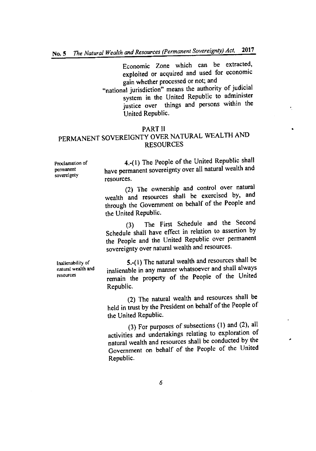Economic Zone which can be extracted, exploited or acquired and used for economic gain whether processed or not; and

"national jurisdiction" means the authority of judicial system in the United Republic to administer justice over things and persons within the United Republic.

# PART II

# PERMANENT SOVEREIGNTY OVER NATURAL WEALTH AND RESOURCES

Proclamation of Permanent sovereignty

4.-(1) The People of the United Republic shall have permanent sovereignty over all natural wealth and resources.

(2) The ownership and control over natural wealth and resources shall be exercised by, and through the Govemment on behalf of the People and the United Republic.

(3) The First Schedute and the Second Schedule shall have effect in relation to assertion by the People and the United Republic over permanent sovereignty over natural wealth and resources.

Inalienability of natural wealth and resources

5.-(l) The natural wealth and resources shall be inalienable in any manner whatsoever and shall always remain the property of the People of the United Republic.

(2) The natural wealth and resources shall be held in irust by the President on behalf of the People of the United Republic.

(3) For purposes of subsections  $(1)$  and  $(2)$ , all activities and undertakings relating to exploration of natural wealth and resources shall be conducted by the Government on behalf of the People of the United Republic.

z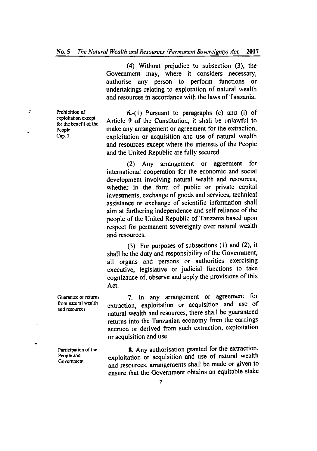(4) Without prejudice to subsection (3), the Govemment may, where it considers necessary, authorise any person to perform functions or undertakings relating to exploration of natural wealth and resources in accordance with the laws of Tanzania.

Prohibition of exploitation except for the benefit of the People Cap. 2

 $\mathbf{r}$ 

6.-(l) Pursuant to paragraphs (c) and (i) of Article 9 of the Constitution, it shall be unlawful to make any arrangement or agreement for the extraction, exploitation or acquisition and use of natural wealth and resources except where the interests of the People and the United Republic are fully secured.

(2) Any arrangement or agreement for international cooperation for the economic and social development involving natural wealth and resources, whether in the form of public or private capital investments, exchange of goods and services, technical assistance or exchange of scientific information shall aim at furthering independence and self reliance of the people of the United Republic of Tanzania based upon respect for permanent sovereignty over natural wealth and resources.

(3) For purposes of subsections  $(1)$  and  $(2)$ , it shall be the duty and responsibility of the Govemment, all organs and persons or authorities exercising executive, legislative or judicial functions to take cognizance of, observe and apply the provisions of this Act.

7. ln any arrangement or agreement for extraction, exploitation or acquisition and use of natural wealth and resources, there shall be guaranteed returns into the Tanzanian economy from the eamings accrued or derived from such extraction, exploitation or acquisition and use.

> 8. Any authorisation granted for the extraction, exploitation or acquisition and use of natural wealth ensure that the Government obtains an equitable stake and resources, arrangements shall be made or given to

Guarantee of returns from natural wealth and resources

Participation of the People and Govemment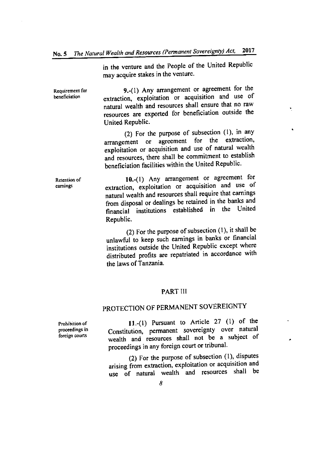in the venture and the People of the United Republic may acquire stakes in the venture.

9.-(1) Any arrangement or agreement for the Requirement for extraction, exploitation or acquisition and use of natural wealth and resources shall ensure that no raw resources are exported for beneficiation outside the United Republic.

> (2) For the purpose of subsection (1), in any arrangement or agreement for the extraction, exploitation or acquisition and use of natural wealth and resources, there shall be commitment to establish beneficiation facilities within the United Republic.

10.-(1) Any arrangement or agreement for Retention of extraction, exploitation or acquisition and use of earnings natural wealth and resources shall require that earnings from disposal or dealings be retained in the banks and financial institutions established in the United Republic.

> (2) For the purpose of subsection (1), it shall be unlawful to keep such earnings in banks or financial institutions outside the United Republic except where distributed profits are repatriated in accordance with the laws of Tanzania.

# **PART III**

# PROTECTION OF PERMANENT SOVEREIGNTY

Prohibition of proceedings in foreign courts

heneficiation

11.-(1) Pursuant to Article 27 (1) of the Constitution, permanent sovereignty over natural wealth and resources shall not be a subject of proceedings in any foreign court or tribunal.

(2) For the purpose of subsection (1), disputes arising from extraction, exploitation or acquisition and use of natural wealth and resources shall be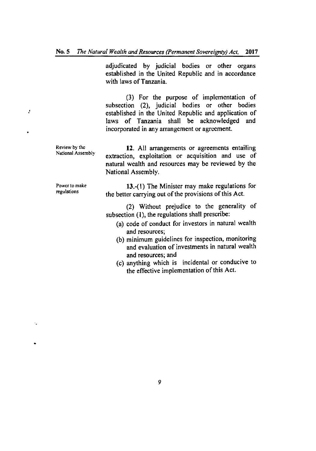adjudicated by judicial bodies or other organs established in the United Republic and in accordance with laws of Tanzania.

(3) For the purpose of implementation of subsection (2), judicial bodies or other bodies established in the United Republic and application of laws of Tanzania shall be acknowledged and incorporated in any arrangement or agreement.

Review by the National Assembly 12. All arrangements or agreements entailing extraction, exploitation or acquisition and use of natural wealth and resources may be reviewed by the National Assembly.

Power to make regulations

J.

13.-(l) The Minister may make regulations for the better carrying out of the provisions of this Act.

(2) Without prejudice to the generality of subsection (1), the regulations shall prescribe:

- (a) code of conduct for investors in natural wealth and resources;
- (b) minimum guidelines for inspection, monitoring and evaluation of investments in natural wealth and resources; and
- (c) anything which is incidental or conducive to the effective implementation of this Act.

9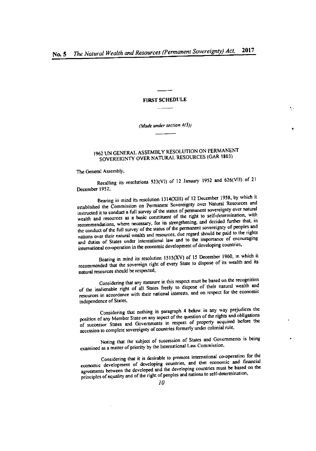## **FIRST SCHEDULE**

(Made under section 4(3))

# 1962 UN GENERAL ASSEMBLY RESOLUTION ON PERMANENT SOVEREIGNTY OVER NATURAL RESOURCES (GAR 1803)

The General Assembly,

Recalling its resolutions 523(VI) of 12 January 1952 and 626(VII) of 21 December 1952,

Bearing in mind its resolution 1314(XIII) of 12 December 1958, by which it established the Commission on Permanent Sovereignty over Natural Resources and instructed it to conduct a full survey of the status of permanent sovereignty over natural wealth and resources as a basic constituent of the right to self-determination, with recommendations, where necessary, for its strengthening, and decided further that, in the conduct of the full survey of the status of the permanent sovereignty of peoples and nations over their natural wealth and resources, due regard should be paid to the rights and duties of States under international law and to the importance of encouraging international co-operation in the economic development of developing countries,

Bearing in mind its resolution 1515(XV) of 15 December 1960, in which it recommended that the sovereign right of every State to dispose of its wealth and its natural resources should be respected,

Considering that any measure in this respect must be based on the recognition of the inalienable right of all States freely to dispose of their natural wealth and resources in accordance with their national interests, and on respect for the economic independence of States,

Considering that nothing in paragraph 4 below in any way prejudices the position of any Member State on any aspect of the question of the rights and obligations of successor States and Governments in respect of property acquired before the accession to complete sovereignty of countries formerly under colonial rule,

Noting that the subject of succession of States and Governments is being examined as a matter of priority by the International Law Commission,

Considering that it is desirable to promote international co-operation for the economic development of developing countries, and that economic and financial agreements between the developed and the developing countries must be based on the principles of equality and of the right of peoples and nations to self-determination,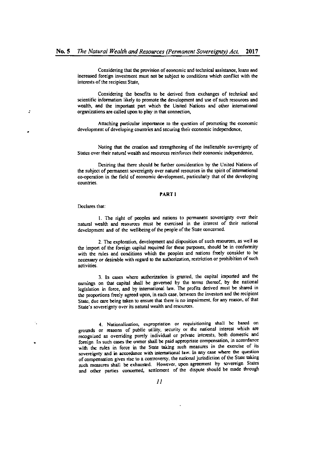Considering that the provision of economic and technical assistance, loans and increased foreign investment must not be subject to conditions which conflict with the interests of the recipient State,

Considering the benefits to be derived from exchanges of technical and scientific information likely to promote the development and use of such resources and wealth, and the important part which the United Nations and other international organizations are called upon to play in that connection,

Attaching particular importance to the question of promoting the economic development of developing countries and securing their economic independence,

Noting that the creation and strengthening of the inalienable sovereignty of States over their natural wealth and resources reinforces their economic independence,

Desiring that there should be further consideration by the United Nations of the subject of permanent sovereignty over natural resources in the spirit of international co-operation in the field of economic development, particularly that of the developing countries.

# **PART I**

# Declares that:

1. The right of peoples and nations to permanent sovereignty over their natural wealth and resources must be exercised in the interest of their national development and of the wellbeing of the people of the State concerned.

2. The exploration, development and disposition of such resources, as well as the import of the foreign capital required for these purposes, should be in conformity with the rules and conditions which the peoples and nations freely consider to be necessary or desirable with regard to the authorization, restriction or prohibition of such activities.

3. In cases where authorization is granted, the capital imported and the earnings on that capital shall be governed by the terms thereof, by the national legislation in force, and by international law. The profits derived must be shared in the proportions freely agreed upon, in each case, between the investors and the recipient State, due care being taken to ensure that there is no impairment, for any reason, of that State's sovereignty over its natural wealth and resources.

4. Nationalization, expropriation or requisitioning shall be based on grounds or reasons of public utility, security or the national interest which are recognized as overriding purely individual or private interests, both domestic and foreign. In such cases the owner shall be paid appropriate compensation, in accordance with the rules in force in the State taking such measures in the exercise of its sovereignty and in accordance with international law. In any case where the question of compensation gives rise to a controversy, the national jurisdiction of the State taking such measures shall be exhausted. However, upon agreement by sovereign States and other parties concerned, settlement of the dispute should be made through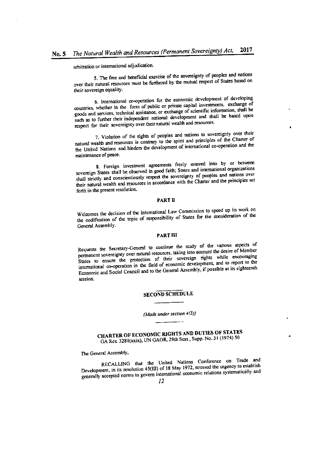arbitration or international adjudication.

5. The free and beneficial exercise of the sovereignty of peoples and nations over their natural resources must be furthered by the mutual respect of States based on their sovereign equality.

6. International co-operation for the economic development of developing countries, whether in the form of public or private capital investments, exchange of goods and services, technical assistance, or exchange of scientific information, shall be such as to further their independent national development and shall be based upon respect for their sovereignty over their natural wealth and resources.

7. Violation of the rights of peoples and nations to sovereignty over their natural wealth and resources is contrary to the spirit and principles of the Charter of the United Nations and hinders the development of international co-operation and the maintenance of peace.

8. Foreign investment agreements freely entered into by or between sovereign States shall be observed in good faith; States and international organizations shall strictly and conscientiously respect the sovereignty of peoples and nations over their natural wealth and resources in accordance with the Charter and the principles set forth in the present resolution.

# **PART II**

Welcomes the decision of the International Law Commission to speed up its work on the codification of the topic of responsibility of States for the consideration of the General Assembly.

# **PARTIII**

Requests the Secretary-General to continue the study of the various aspects of permanent sovereignty over natural resources, taking into account the desire of Member States to ensure the protection of their sovereign rights while encouraging international co-operation in the field of economic development, and to report to the Economic and Social Council and to the General Assembly, if possible at its eighteenth session.

# **SECOND SCHEDULE**

(Made under section 4(3))

**CHARTER OF ECONOMIC RIGHTS AND DUTIES OF STATES** GA Res. 3281(xxix), UN GAOR, 29th Sess., Supp. No. 31 (1974) 50

The General Assembly,

RECALLING that the United Nations Conference on Trade and Development, in its resolution 45(III) of 18 May 1972, stressed the urgency to establish generally accepted norms to govern international economic relations systematically and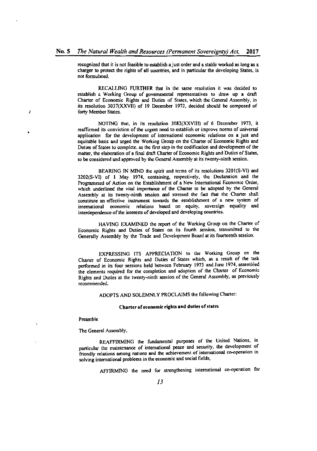recognized that it is not feasible to establish a just order and a stable worked as long as a charger to protect the rights of all countries, and in particular the developing States, is not formulated.

RECALLING FURTHER that in the same resolution it was decided to establish a Working Group of governmental representatives to draw up a draft Charter of Economic Rights and Duties of States, which the General Assembly, in its resolution 3037(XXVII) of 19 December 1972, decided should be composed of forty Member States.

NOTING that, in its resolution 3082(XXVIII) of 6 December 1973, it reaffirmed its conviction of the urgent need to establish or improve norms of universal application for the development of international economic relations on a just and equitable basis and urged the Working Group on the Charter of Economic Rights and Duties of States to complete, as the first step in the codification and development of the matter, the elaboration of a final draft Charter of Economic Rights and Duties of States, to be considered and approved by the General Assembly at its twenty-ninth session.

BEARING IN MIND the spirit and terms of its resolutions 3201(S-VI) and 3202(S-VI) of 1 May 1974, containing, respectively, the Declaration and the Programmed of Action on the Establishment of a New International Economic Order, which underlined the vital importance of the Charter to be adopted by the General Assembly at its twenty-ninth session and stressed the fact that the Charter shall constitute an effective instrument towards the establishment of a new system of international economic relations based on equity, sovereign equality and interdependence of the interests of developed and developing countries.

HAVING EXAMINED the report of the Working Group on the Charter of Economic Rights and Duties of States on its fourth session, transmitted to the Generally Assembly by the Trade and Development Board at its fourteenth session.

EXPRESSING ITS APPRECIATION to the Working Group on the Charter of Economic Rights and Duties of States which, as a result of the task performed in its four sessions held between February 1973 and June 1974, assembled the elements required for the completion and adoption of the Charter of Economic Rights and Duties at the twenty-ninth session of the General Assembly, as previously recommended.

ADOPTS AND SOLEMNLY PROCLAIMS the following Charter:

# Charter of economic rights and duties of states

Preamble

Ŀ.

The General Assembly,

REAFFIRMING the fundamental purposes of the United Nations, in particular the maintenance of international peace and security, the development of friendly relations among nations and the achievement of international co-operation in solving international problems in the economic and social fields,

AFFIRMING the need for strengthening international co-operation for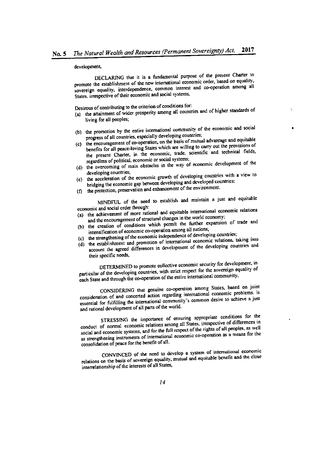# development,

DECLARING that it is a fundamental purpose of the present Charter to promote the establishment of the new international economic order, based on equality, sovereign equality, interdependence, common interest and co-operation among all States, irrespective of their economic and social systems,

Desirous of contributing to the criterion of conditions for:

- (a) the attainment of wider prosperity among all countries and of higher standards of living for all peoples;
- (b) the promotion by the entire international community of the economic and social progress of all countries, especially developing countries;
- (c) the encouragement of co-operation, on the basis of mutual advantage and equitable benefits for all peace-loving States which are willing to carry out the provisions of the present Charter, in the economic, trade, scientific and technical fields,
- regardless of political, economic or social systems; (d) the overcoming of main obstacles in the way of economic development of the
- developing countries; (e) the acceleration of the economic growth of developing countries with a view to bridging the economic gap between developing and developed countries:
- (f) the protection, preservation and enhancement of the environment.

MINDFUL of the need to establish and maintain a just and equitable economic and social order through:

- (a) the achievement of more rational and equitable international economic relations and the encouragement of structural changes in the world economy;
- (b) the creation of conditions which permit the further expansion of trade and intensification of economic co-operation among all nations;
- (c) the strengthening of the economic independence of developing countries;
- (d) the establishment and promotion of international economic relations, taking into account the agreed differences in development of the developing countries and their specific needs,

DETERMINED to promote collective economic security for development, in particular of the developing countries, with strict respect for the sovereign equality of each State and through the co-operation of the entire international community,

CONSIDERING that genuine co-operation among States, based on joint consideration of and concerted action regarding international economic problems. is essential for fulfilling the international community's common desire to achieve a just and rational development of all parts of the world.

STRESSING the importance of ensuring appropriate conditions for the conduct of normal economic relations among all States, irrespective of differences in social and economic systems, and for the full respect of the rights of all peoples, as well as strengthening instruments of international economic co-operation as a means for the consolidation of peace for the benefit of all.

CONVINCED of the need to develop a system of international economic relations on the basis of sovereign equality, mutual and equitable benefit and the close interrelationship of the interests of all States,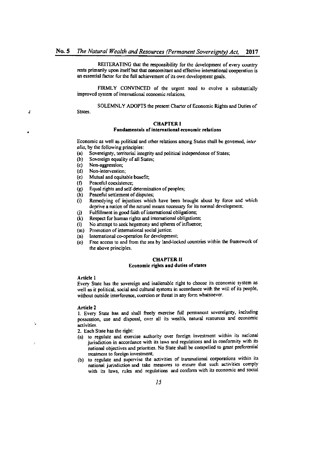REITERATING that the responsibility for the development of every country rests primarily upon itself but that concomitant and effective international cooperation is an essential factor for the full achievement of its own development goals.

FIRMLY CONVINCED of the urgent need to evolve a substantially improved system of international economic relations,

SOLEMNLY ADOPTS the present Charter of Economic Rights and Duties of States.

# **CHAPTER I**

## Fundamentals of international economic relations

Economic as well as political and other relations among States shall be governed, inter *alia*, by the following principles:

- $(a)$ Sovereignty, territorial integrity and political independence of States;
- $(b)$ Sovereign equality of all States;
- $(c)$ Non-aggression;
- $(d)$ Non-intervention;
- $(e)$ Mutual and equitable benefit;
- Peaceful coexistence;  $(f)$
- Equal rights and self-determination of peoples;  $\mathbf{g}$
- Peaceful settlement of disputes;  $(h)$
- Remedying of injustices which have been brought about by force and which  $(i)$ deprive a nation of the natural means necessary for its normal development;
- Fulfillment in good faith of international obligations;  $(i)$
- Respect for human rights and international obligations;  $(k)$
- No attempt to seek hegemony and spheres of influence;  $(1)$
- (m) Promotion of international social justice;
- International co-operation for development;  $(n)$
- Free access to and from the sea by land-locked countries within the framework of  $(0)$ the above principles.

# **CHAPTER II**

# Economic rights and duties of states

## Article 1

Every State has the sovereign and inalienable right to choose its economic system as well as it political, social and cultural systems in accordance with the will of its people, without outside interference, coercion or threat in any form whatsoever.

### **Article 2**

 $\cdot$ 

1. Every State has and shall freely exercise full permanent sovereignty, including possession, use and disposal, over all its wealth, natural resources and economic activities.

2. Each State has the right:

- (a) to regulate and exercise authority over foreign investment within its national jurisdiction in accordance with its laws and regulations and in conformity with its national objectives and priorities. No State shall be compelled to grant preferential treatment to foreign investment;
- (b) to regulate and supervise the activities of transnational corporations within its national jurisdiction and take measures to ensure that such activities comply with its laws, rules and regulations and conform with its economic and social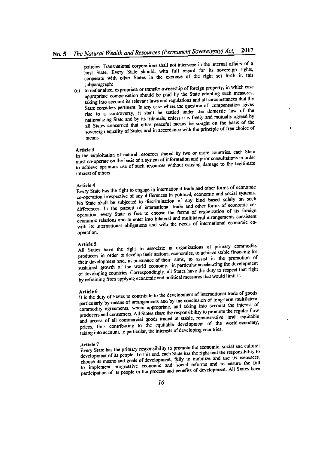policies. Transnational corporations shall not intervene in the internal affairs of a host State. Every State should, with full regard for its sovereign rights, cooperate with other States in the exercise of the right set forth in this subparagraph;

(c) to nationalize, expropriate or transfer ownership of foreign property, in which case appropriate compensation should be paid by the State adopting such measures, taking into account its relevant laws and regulations and all circumstances that the State considers pertinent. In any case where the question of compensation gives rise to a controversy, it shall be settled under the domestic law of the nationalizing State and by its tribunals, unless it is freely and mutually agreed by all States concerned that other peaceful means be sought on the basis of the sovereign equality of States and in accordance with the principle of free choice of means.

 $\pmb{\lambda}$ 

# Article 3

In the exploitation of natural resources shared by two or more countries, each State must co-operate on the basis of a system of information and prior consultations in order to achieve optimum use of such resources without causing damage to the legitimate interest of others.

## Article 4

Every State has the right to engage in international trade and other forms of economic co-operation irrespective of any differences in political, economic and social systems. No State shall be subjected to discrimination of any kind based solely on such differences. In the pursuit of international trade and other forms of economic cooperation, every State is free to choose the forms of organization of its foreign economic relations and to enter into bilateral and multilateral arrangements consistent with its international obligations and with the needs of international economic cooperation.

# Article 5

All States have the right to associate in organizations of primary commodity producers in order to develop their national economies, to achieve stable financing for their development and, in pursuance of their aims, to assist in the promotion of sustained growth of the world economy. In particular accelerating the development of developing countries. Correspondingly, all States have the duty to respect that right by refraining from applying economic and political measures that would limit it.

It is the duty of States to contribute to the development of international trade of goods, particularly by means of arrangements and by the conclusion of long-term multilateral commodity agreements, where appropriate, and taking into account the interest of producers and consumers. All States share the responsibility to promote the regular flow and access of all commercial goods traded at stable, remunerative and equitable prices, thus contributing to the equitable development of the world economy, taking into account, in particular, the interests of developing countries.

### Article 7

Every State has the primary responsibility to promote the economic, social and cultural development of its people. To this end, each State has the right and the responsibility to choose its means and goals of development, fully to mobilize and use its resources, to implement progressive economic and social reforms and to ensure the full participation of its people in the process and benefits of development. All States have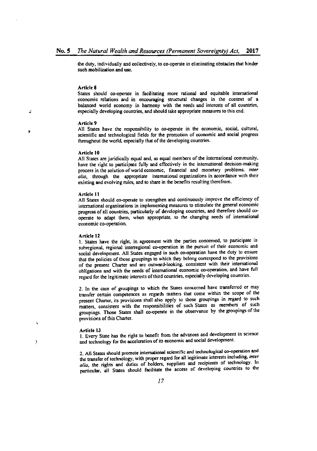the duty, individually and collectively, to co-operate in eliminating obstacles that hinder such mobilization and use.

# Article 8

States should co-operate in facilitating more rational and equitable international economic relations and in encouraging structural changes in the context of a balanced world economy in harmony with the needs and interests of all countries, especially developing countries, and should take appropriate measures to this end.

## Article 9

All States have the responsibility to co-operate in the economic, social, cultural, scientific and technological fields for the promotion of economic and social progress throughout the world, especially that of the developing countries.

### Article 10

All States are juridically equal and, as equal members of the international community, have the right to participate fully and effectively in the international decision-making process in the solution of world economic, financial and monetary problems, inter alia, through the appropriate international organizations in accordance with their existing and evolving rules, and to share in the benefits resulting therefrom.

### Article 11

All States should co-operate to strengthen and continuously improve the efficiency of international organizations in implementing measures to stimulate the general economic progress of all countries, particularly of developing countries, and therefore should cooperate to adapt them, when appropriate, to the changing needs of international economic co-operation.

## Article 12

1. States have the right, in agreement with the parties concerned, to participate in subregional, regional interregional co-operation in the pursuit of their economic and social development. All States engaged in such co-operation have the duty to ensure that the policies of those groupings to which they belong correspond to the provisions of the present Charter and are outward-looking, consistent with their international obligations and with the needs of international economic co-operation, and have full regard for the legitimate interests of third countries, especially developing countries.

2. In the case of groupings to which the States concerned have transferred or may transfer certain competences as regards matters that come within the scope of the present Charter, its provisions shall also apply to those groupings in regard to such matters, consistent with the responsibilities of such States as members of such groupings. Those States shall co-operate in the observance by the groupings of the provisions of this Charter.

# Article 13

÷.

 $\mathbf{I}$ 

1. Every State has the right to benefit from the advances and development in science and technology for the acceleration of its economic and social development.

2. All States should promote international scientific and technological co-operation and the transfer of technology, with proper regard for all legitimate interests including, inter alia, the rights and duties of holders, suppliers and recipients of technology. In particular, all States should facilitate the access of developing countries to the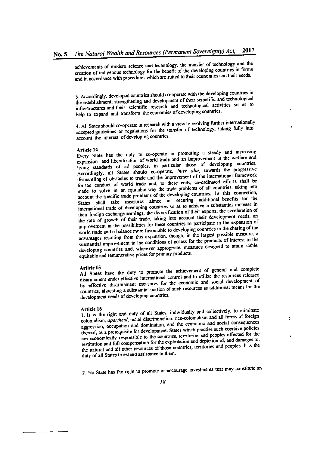achievements of modern science and technology, the transfer of technology and the creation of indigenous technology for the benefit of the developing countries in forms and in accordance with procedures which are suited to their economies and their needs.

3. Accordingly, developed countries should co-operate with the developing countries in the establishment, strengthening and development of their scientific and technological infrastructures and their scientific research and technological activities so as to help to expand and transform the economies of developing countries.

4. All Sates should co-operate in research with a view to evolving further internationally accepted guidelines or regulations for the transfer of technology, taking fully into account the interest of developing countries.

# Article 14

Every State has the duty to co-operate in promoting a steady and increasing expansion and liberalization of world trade and an improvement in the welfare and living standards of all peoples, in particular those of developing countries. Accordingly, all States should co-operate, inter alia, towards the progressive dismantling of obstacles to trade and the improvement of the international framework for the conduct of world trade and, to these ends, co-ordinated efforts shall be made to solve in an equitable way the trade problems of all countries, taking into account the specific trade problems of the developing countries. In this connection, States shall take measures aimed at securing additional benefits for the international trade of developing countries so as to achieve a substantial increase in their foreign exchange earnings, the diversification of their exports, the acceleration of the rate of growth of their trade, taking into account their development needs, an improvement in the possibilities for these countries to participate in the expansion of world trade and a balance more favourable to developing countries in the sharing of the advantages resulting from this expansion, though, in the largest possible measure, a substantial improvement in the conditions of access for the products of interest to the developing countries and, wherever appropriate, measures designed to attain stable, equitable and remunerative prices for primary products.

### Article 15

All States have the duty to promote the achievement of general and complete disarmament under effective international control and to utilize the resources released by effective disarmament measures for the economic and social development of countries, allocating a substantial portion of such resources as additional means for the development needs of developing countries.

# Article 16

1. It is the right and duty of all States, individually and collectively, to eliminate colonialism, apartheid, racial discrimination, neo-colonialism and all forms of foreign aggression, occupation and domination, and the economic and social consequences thereof, as a prerequisite for development. States which practise such coercive policies are economically responsible to the countries, territories and peoples affected for the restitution and full compensation for the exploitation and depletion of, and damages to, the natural and all other resources of those countries, territories and peoples. It is the duty of all States to extend assistance to them.

2. No State has the right to promote or encourage investments that may constitute an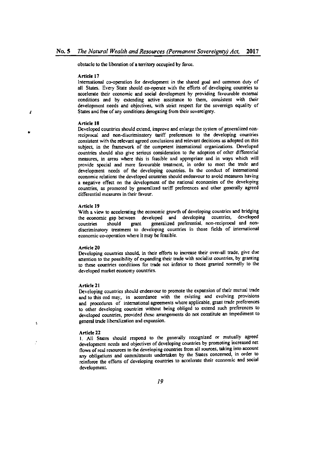obstacle to the liberation of a territory occupied by force.

### Article 17

International co-operation for development in the shared goal and common duty of all States. Every State should co-operate with the efforts of developing countries to accelerate their economic and social development by providing favourable external conditions and by extending active assistance to them, consistent with their development needs and objectives, with strict respect for the sovereign equality of States and free of any conditions derogating from their sovereignty.

## Article 18

x

ż,

Developed countries should extend, improve and enlarge the system of generalized nonreciprocal and non-discriminatory tariff preferences to the developing countries consistent with the relevant agreed conclusions and relevant decisions as adopted on this subject, in the framework of the competent international organizations. Developed countries should also give serious consideration to the adoption of other differential measures, in areas where this is feasible and appropriate and in ways which will provide special and more favourable treatment, in order to meet the trade and development needs of the developing countries. In the conduct of international economic relations the developed countries should endeavour to avoid measures having a negative effect on the development of the national economies of the developing countries, as promoted by generalized tariff preferences and other generally agreed differential measures in their favour.

### Article 19

With a view to accelerating the economic growth of developing countries and bridging the economic gap between developed and developing countries, developed generalized preferential, non-reciprocal and nongrant countries should discriminatory treatment to developing countries in those fields of international economic co-operation where it may be feasible.

## Article 20

Developing countries should, in their efforts to increase their over-all trade, give due attention to the possibility of expanding their trade with socialist countries, by granting to these countries conditions for trade not inferior to those granted normally to the developed market economy countries.

### Article 21

Developing countries should endeavour to promote the expansion of their mutual trade and to this end may, in accordance with the existing and evolving provisions and procedures of international agreements where applicable, grant trade preferences to other developing countries without being obliged to extend such preferences to developed countries, provided these arrangements do not constitute an impediment to general trade liberalization and expansion.

### Article 22

1. All States should respond to the generally recognized or mutually agreed development needs and objectives of developing countries by promoting increased net flows of real resources to the developing countries from all sources, taking into account any obligations and commitments undertaken by the States concerned, in order to reinforce the efforts of developing countries to accelerate their economic and social development.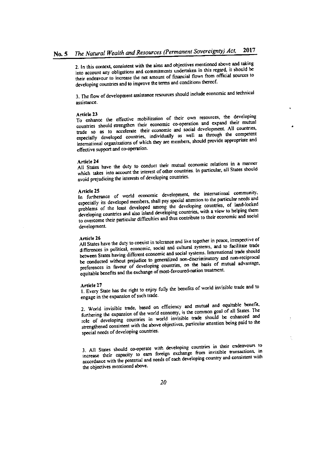2. In this context, consistent with the aims and objectives mentioned above and taking into account any obligations and commitments undertaken in this regard, it should be their endeavour to increase the net amount of financial flows from official sources to developing countries and to improve the terms and conditions thereof.

3. The flow of development assistance resources should include economic and technical assistance.

## Article 23

To enhance the effective mobilization of their own resources, the developing countries should strengthen their economic co-operation and expand their mutual trade so as to accelerate their economic and social development. All countries, especially developed countries, individually as well as through the competent international organizations of which they are members, should provide appropriate and effective support and co-operation.

# Article 24

All States have the duty to conduct their mutual economic relations in a manner which takes into account the interest of other countries. In particular, all States should avoid prejudicing the interests of developing countries.

## **Article 25**

In furtherance of world economic development, the international community, especially its developed members, shall pay special attention to the particular needs and problems of the least developed among the developing countries, of land-locked developing countries and also island developing countries, with a view to helping them to overcome their particular difficulties and thus contribute to their economic and social development.

# Article 26

All States have the duty to coexist in tolerance and live together in peace, irrespective of differences in political, economic, social and cultural systems, and to facilitate trade between States having different economic and social systems. International trade should be conducted without prejudice to generalized non-discriminatory and non-reciprocal preferences in favour of developing countries, on the basis of mutual advantage, equitable benefits and the exchange of most-favoured-nation treatment.

1. Every State has the right to enjoy fully the benefits of world invisible trade and to engage in the expansion of such trade.

2. World invisible trade, based on efficiency and mutual and equitable benefit, furthering the expansion of the world economy, is the common goal of all States. The role of developing countries in world invisible trade should be enhanced and strengthened consistent with the above objectives, particular attention being paid to the special needs of developing countries.

3. All States should co-operate with developing countries in their endeavours to increase their capacity to earn foreign exchange from invisible transactions, in accordance with the potential and needs of each developing country and consistent with the objectives mentioned above.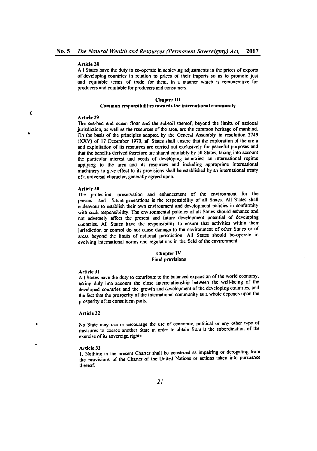# **Article 28**

All States have the duty to co-operate in achieving adjustments in the prices of exports of developing countries in relation to prices of their imports so as to promote just and equitable terms of trade for them, in a manner which is remunerative for producers and equitable for producers and consumers.

### **Chapter III**

# Common responsibilities towards the international community

## **Article 29**

¢

The sea-bed and ocean floor and the subsoil thereof, beyond the limits of national jurisdiction, as well as the resources of the area, are the common heritage of mankind. On the basis of the principles adopted by the General Assembly in resolution 2749 (XXV) of 17 December 1970, all States shall ensure that the exploration of the are a and exploitation of its resources are carried out exclusively for peaceful purposes and that the benefits derived therefore are shared equitably by all States, taking into account the particular interest and needs of developing countries; an international regime applying to the area and its resources and including appropriate international machinery to give effect to its provisions shall be established by an international treaty of a universal character, generally agreed upon.

## Article 30

The protection, preservation and enhancement of the environment for the present and future generations is the responsibility of all States. All States shall endeavour to establish their own environment and development policies in conformity with such responsibility. The environmental policies of all States should enhance and not adversely affect the present and future development potential of developing countries. All States have the responsibility to ensure that activities within their jurisdiction or control do not cause damage to the environment of other States or of areas beyond the limits of national jurisdiction. All States should bo-operate in evolving international norms and regulations in the field of the environment.

## Chapter IV **Final provisions**

### Article 31

All States have the duty to contribute to the balanced expansion of the world economy, taking duly into account the close interrelationship between the well-being of the developed countries and the growth and development of the developing countries, and the fact that the prosperity of the international community as a whole depends upon the prosperity of its constituent parts.

# **Article 32**

No State may use or encourage the use of economic, political or any other type of measures to coerce another State in order to obtain from it the subordination of the exercise of its sovereign rights.

### Article 33

1. Nothing in the present Charter shall be construed as impairing or derogating from the provisions of the Charter of the United Nations or actions taken into pursuance thereof.